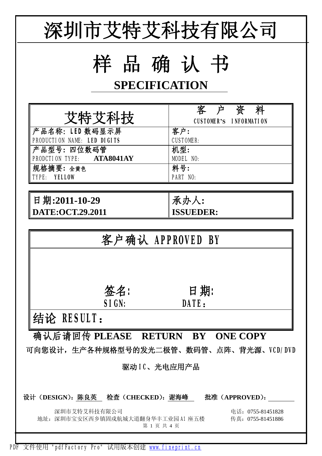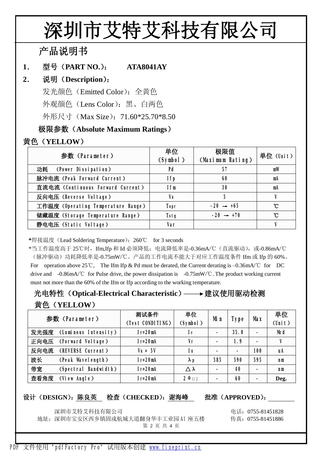# **深圳市艾特艾科技有限公司**

**产品说明书**

#### **1. 型号(PART NO.): ATA8041AY**

#### **2. 说明(Description):**

发光颜色(Emitted Color):全黄色

外观颜色(Lens Color):黑、白两色

外形尺寸 (Max Size): 71.60\*25.70\*8.50

#### **极限参数(Absolute Maximum Ratings)**

### **黄色(YELLOW)**

| 参数(Parameter)                      | 单位<br>(Symbol) | 极限值<br>(Maximum Rating) | 单位(Unit)      |  |
|------------------------------------|----------------|-------------------------|---------------|--|
| 功耗 (Power Dissipation)             | Pd             | 57                      | mW            |  |
| 脉冲电流 (Peak Forward Current)        | I fp           | 60                      | mA            |  |
| 直流电流 (Continuous Forward Current)  | I fm           | 30                      | mA            |  |
| 反向电压 (Reverse Voltage)             | <b>VR</b>      | 5                       |               |  |
| 工作温度 (Operating Temperature Range) | Topr           | $-20 \rightarrow +65$   | $\mathcal{C}$ |  |
| 储藏温度 (Storage Temperature Range)   | <b>Tstg</b>    | $-20 \rightarrow +70$   | °C            |  |
| 静电电压 (Static Voltage)              | Var            |                         |               |  |

**\***焊接温度(Lead Soldering Temperature):260℃ for 3 seconds

\*当工作温度高于 25℃时,Ifm,Ifp 和 Id 必须降低;电流降低率是-0.36mA/℃(直流驱动),或-0.86mA/℃ (脉冲驱动)功耗降低率是-0.75mW/℃。产品的工作电流不能大于对应工作温度条件 Ifm 或 Ifp 的 60%。 For operation above 25℃, The Ifm Ifp & Pd must be derated, the Current derating is –0.36mA/℃ for DC drive and -0.86mA/℃ for Pulse drive, the power dissipation is -0.75mW/℃. The product working current must not more than the 60% of the Ifm or Ifp according to the working temperature.

## **光电特性(Optical-Electrical Characteristic) 建议使用驱动检测 黄色(YELLOW)**

|      | 参数(Parameter)        | 测试条件<br>(Test CONDITING) | 单位<br>(Symbol)         | Mi n           | <b>Type</b>    | <b>Nax</b>     | 单位<br>$(\textsf{Unit})$ |
|------|----------------------|--------------------------|------------------------|----------------|----------------|----------------|-------------------------|
| 发光强度 | (Luminous Intensity) | $I = 20mA$               | Iv                     |                | 35.0           | $\blacksquare$ | <b>Mcd</b>              |
| 正向电压 | (Forward Voltage)    | $I = 20mA$               | Vг                     | -              | 1.9            |                | V                       |
| 反向电流 | (REVERSE Current)    | $V_R = 5V$               | <b>IR</b>              | $\blacksquare$ | $\blacksquare$ | 100            | uA                      |
| 波长   | (Peak Wavelength)    | $I = 20mA$               | $\lambda$ p            | 585            | 590            | 595            | nm                      |
| 带宽   | (Spectral Bandwidth) | $I = 20mA$               | $\wedge \lambda$       | $\blacksquare$ | 40             |                | nm                      |
| 查看角度 | (View Angle)         | $I = 20mA$               | $2 \theta \frac{1}{2}$ |                | 60             |                | Deg.                    |

#### **设计(DESIGN):陈良英 检查(CHECKED):谢海峰 批准(APPROVED):**

深圳市艾特艾科技有限公司 电话:0755-81451828

地址: 深圳市宝安区西乡镇固戍航城大道翻身华丰工业园 A1 座五楼 传真: 0755-81451886 第 2 页 共 4 页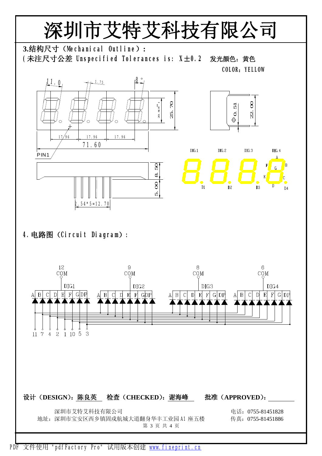